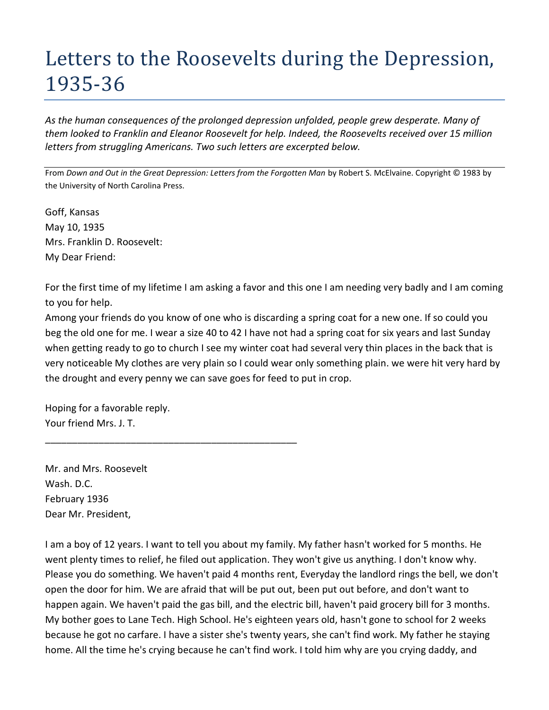## Letters to the Roosevelts during the Depression, 1935-36

*As the human consequences of the prolonged depression unfolded, people grew desperate. Many of them looked to Franklin and Eleanor Roosevelt for help. Indeed, the Roosevelts received over 15 million letters from struggling Americans. Two such letters are excerpted below.* 

From *Down and Out in the Great Depression: Letters from the Forgotten Man* by Robert S. McElvaine. Copyright © 1983 by the University of North Carolina Press.

Goff, Kansas May 10, 1935 Mrs. Franklin D. Roosevelt: My Dear Friend:

For the first time of my lifetime I am asking a favor and this one I am needing very badly and I am coming to you for help.

Among your friends do you know of one who is discarding a spring coat for a new one. If so could you beg the old one for me. I wear a size 40 to 42 I have not had a spring coat for six years and last Sunday when getting ready to go to church I see my winter coat had several very thin places in the back that is very noticeable My clothes are very plain so I could wear only something plain. we were hit very hard by the drought and every penny we can save goes for feed to put in crop.

Hoping for a favorable reply. Your friend Mrs. J. T.

\_\_\_\_\_\_\_\_\_\_\_\_\_\_\_\_\_\_\_\_\_\_\_\_\_\_\_\_\_\_\_\_\_\_\_\_\_\_\_\_\_\_\_\_\_\_\_

Mr. and Mrs. Roosevelt Wash. D.C. February 1936 Dear Mr. President,

I am a boy of 12 years. I want to tell you about my family. My father hasn't worked for 5 months. He went plenty times to relief, he filed out application. They won't give us anything. I don't know why. Please you do something. We haven't paid 4 months rent, Everyday the landlord rings the bell, we don't open the door for him. We are afraid that will be put out, been put out before, and don't want to happen again. We haven't paid the gas bill, and the electric bill, haven't paid grocery bill for 3 months. My bother goes to Lane Tech. High School. He's eighteen years old, hasn't gone to school for 2 weeks because he got no carfare. I have a sister she's twenty years, she can't find work. My father he staying home. All the time he's crying because he can't find work. I told him why are you crying daddy, and